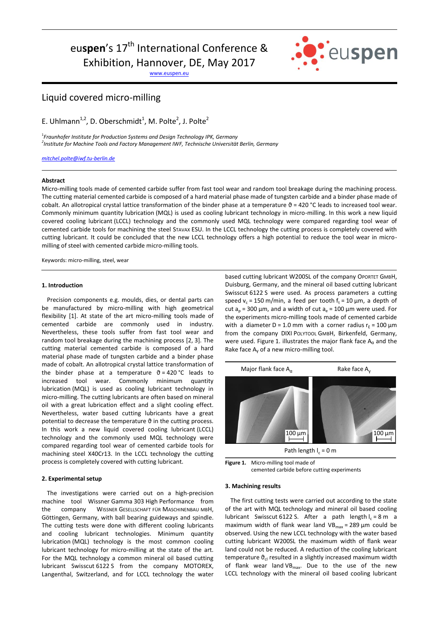# eu**spen**'s 17<sup>th</sup> International Conference &

Exhibition, Hannover, DE, May 2017

[www.euspen.eu](http://www.euspen.eu/)



# Liquid covered micro-milling

E. Uhlmann<sup>1,2</sup>, D. Oberschmidt<sup>1</sup>, M. Polte<sup>2</sup>, J. Polte<sup>2</sup>

1 *Fraunhofer Institute for Production Systems and Design Technology IPK, Germany 2 Institute for Machine Tools and Factory Management IWF, Technische Universität Berlin, Germany*

*[mitchel.polte@iwf.tu-berlin.de](mailto:mitchel.polte@iwf.tu-berlin.de)*

#### **Abstract**

Micro-milling tools made of cemented carbide suffer from fast tool wear and random tool breakage during the machining process. The cutting material cemented carbide is composed of a hard material phase made of tungsten carbide and a binder phase made of cobalt. An allotropical crystal lattice transformation of the binder phase at a temperature  $\vartheta$  = 420 °C leads to increased tool wear. Commonly minimum quantity lubrication (MQL) is used as cooling lubricant technology in micro-milling. In this work a new liquid covered cooling lubricant (LCCL) technology and the commonly used MQL technology were compared regarding tool wear of cemented carbide tools for machining the steel STAVAX ESU. In the LCCL technology the cutting process is completely covered with cutting lubricant. It could be concluded that the new LCCL technology offers a high potential to reduce the tool wear in micromilling of steel with cemented carbide micro-milling tools.

Keywords: micro-milling, steel, wear

## **1. Introduction**

Precision components e.g. moulds, dies, or dental parts can be manufactured by micro-milling with high geometrical flexibility [1]. At state of the art micro-milling tools made of cemented carbide are commonly used in industry. Nevertheless, these tools suffer from fast tool wear and random tool breakage during the machining process [2, 3]. The cutting material cemented carbide is composed of a hard material phase made of tungsten carbide and a binder phase made of cobalt. An allotropical crystal lattice transformation of the binder phase at a temperature  $\vartheta = 420 \degree C$  leads to increased tool wear. Commonly minimum quantity lubrication (MQL) is used as cooling lubricant technology in micro-milling. The cutting lubricants are often based on mineral oil with a great lubrication effect and a slight cooling effect. Nevertheless, water based cutting lubricants have a great potential to decrease the temperature  $\vartheta$  in the cutting process. In this work a new liquid covered cooling lubricant (LCCL) technology and the commonly used MQL technology were compared regarding tool wear of cemented carbide tools for machining steel X40Cr13. In the LCCL technology the cutting process is completely covered with cutting lubricant.

#### **2. Experimental setup**

The investigations were carried out on a high-precision machine tool Wissner Gamma 303 High Performance from the company WISSNER GESELLSCHAFT FÜR MASCHINENBAU MBH, Göttingen, Germany, with ball bearing guideways and spindle. The cutting tests were done with different cooling lubricants and cooling lubricant technologies. Minimum quantity lubrication (MQL) technology is the most common cooling lubricant technology for micro-milling at the state of the art. For the MQL technology a common mineral oil based cutting lubricant Swisscut 6122 S from the company MOTOREX, Langenthal, Switzerland, and for LCCL technology the water based cutting lubricant W200SL of the company OPORTET GMBH, Duisburg, Germany, and the mineral oil based cutting lubricant Swisscut 6122 S were used. As process parameters a cutting speed  $v_c$  = 150 m/min, a feed per tooth  $f_t$  = 10  $\mu$ m, a depth of cut  $a_p$  = 300 µm, and a width of cut  $a_e$  = 100 µm were used. For the experiments micro-milling tools made of cemented carbide with a diameter D = 1.0 mm with a corner radius  $r<sub>s</sub>$  = 100  $\mu$ m from the company DIXI POLYTOOL GMBH, Birkenfeld, Germany, were used. Figure 1. illustrates the major flank face  $A_{\alpha}$  and the Rake face A<sub>v</sub> of a new micro-milling tool.



**Figure 1.** Micro-milling tool made of cemented carbide before cutting experiments

#### **3. Machining results**

The first cutting tests were carried out according to the state of the art with MQL technology and mineral oil based cooling lubricant Swisscut 6122 S. After a path length  $I_c = 8$  m a maximum width of flank wear land VB $_{max}$  = 289 µm could be observed. Using the new LCCL technology with the water based cutting lubricant W200SL the maximum width of flank wear land could not be reduced. A reduction of the cooling lubricant temperature  $\vartheta_{\text{cl}}$  resulted in a slightly increased maximum width of flank wear land  $VB_{max}$ . Due to the use of the new LCCL technology with the mineral oil based cooling lubricant